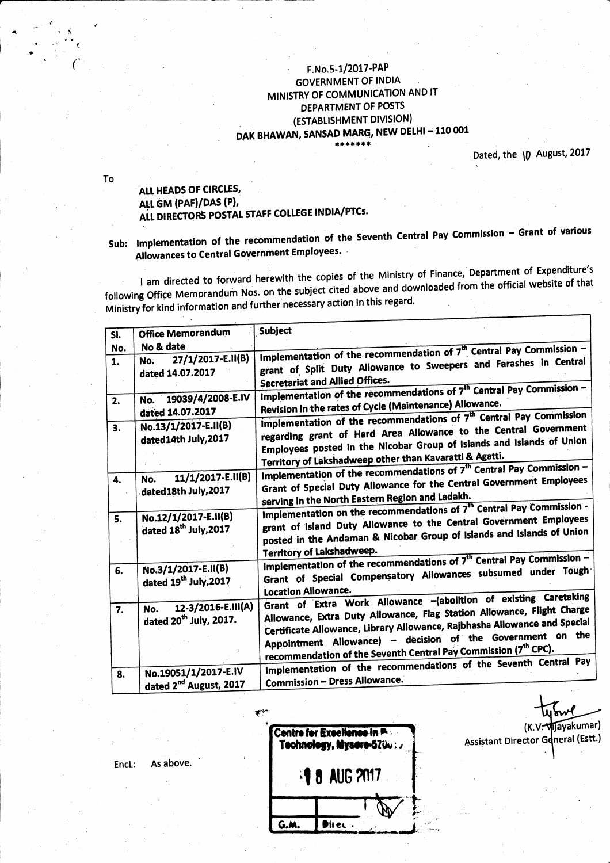#### F.No.5-1/2017-PAP **GOVERNMENT OF INDIA** MINISTRY OF COMMUNICATION AND IT DEPARTMENT OF POSTS (ESTABLISHMENT DIVISION) DAK BHAWAN, SANSAD MARG, NEW DELHI - 110 001 \*\*\*\*\*

Dated, the \D August, 2017

(K.V. Mijayakumar)

Assistant Director General (Estt.)

To

#### ALL HEADS OF CIRCLES, ALL GM (PAF)/DAS (P), ALL DIRECTORS POSTAL STAFF COLLEGE INDIA/PTCs.

# Sub: Implementation of the recommendation of the Seventh Central Pay Commission - Grant of various Allowances to Central Government Employees.

I am directed to forward herewith the copies of the Ministry of Finance, Department of Expenditure's following Office Memorandum Nos. on the subject cited above and downloaded from the official website of that Ministry for kind information and further necessary action in this regard.

| SI.            | <b>Office Memorandum</b>                                        | <b>Subject</b>                                                                                                                                                                                                                                                                                                                                                       |
|----------------|-----------------------------------------------------------------|----------------------------------------------------------------------------------------------------------------------------------------------------------------------------------------------------------------------------------------------------------------------------------------------------------------------------------------------------------------------|
| No.<br>1.      | No & date<br>27/1/2017-E.II(B)<br>No.<br>dated 14.07.2017       | Implementation of the recommendation of $7th$ Central Pay Commission -<br>grant of Split Duty Allowance to Sweepers and Farashes in Central<br><b>Secretariat and Allied Offices.</b>                                                                                                                                                                                |
| $\mathbf{2}$ . | 19039/4/2008-E.IV<br>No.<br>dated 14.07.2017                    | Implementation of the recommendations of 7 <sup>th</sup> Central Pay Commission -<br>Revision in the rates of Cycle (Maintenance) Allowance.                                                                                                                                                                                                                         |
| 3.             | No.13/1/2017-E.II(B)<br>dated14th July, 2017                    | Implementation of the recommendations of 7 <sup>th</sup> Central Pay Commission<br>regarding grant of Hard Area Allowance to the Central Government<br>Employees posted in the Nicobar Group of Islands and Islands of Union<br>Territory of Lakshadweep other than Kavaratti & Agatti.                                                                              |
| 4.             | 11/1/2017-E.II(B)<br>No.<br>dated18th July, 2017                | Implementation of the recommendations of 7 <sup>th</sup> Central Pay Commission -<br>Grant of Special Duty Allowance for the Central Government Employees<br>serving in the North Eastern Region and Ladakh.                                                                                                                                                         |
| 5.             | No.12/1/2017-E.II(B)<br>dated 18 <sup>th</sup> July, 2017       | Implementation on the recommendations of 7 <sup>th</sup> Central Pay Commission -<br>grant of Island Duty Allowance to the Central Government Employees<br>posted in the Andaman & Nicobar Group of Islands and Islands of Union<br>Territory of Lakshadweep.                                                                                                        |
| 6.             | No.3/1/2017-E.II(B)<br>dated 19th July, 2017                    | Implementation of the recommendations of 7 <sup>th</sup> Central Pay Commission -<br>Grant of Special Compensatory Allowances subsumed under Tough<br><b>Location Allowance.</b>                                                                                                                                                                                     |
| 7.             | 12-3/2016-E.III(A)<br>No.<br>dated 20 <sup>th</sup> July, 2017. | Grant of Extra Work Allowance -(abolition of existing Caretaking<br>Allowance, Extra Duty Allowance, Flag Station Allowance, Flight Charge<br>Certificate Allowance, Library Allowance, Rajbhasha Allowance and Special<br>Appointment Allowance) - decision of the Government on the<br>recommendation of the Seventh Central Pay Commission (7 <sup>th</sup> CPC). |
| 8.             | No.19051/1/2017-E.IV<br>dated 2 <sup>nd</sup> August, 2017      | Implementation of the recommendations of the Seventh Central Pay<br><b>Commission - Dress Allowance.</b>                                                                                                                                                                                                                                                             |

Centre for Excellence in P. Technology, Mysere-5700: **18 AUG 2017** G.M. Direc.

As above. Encl: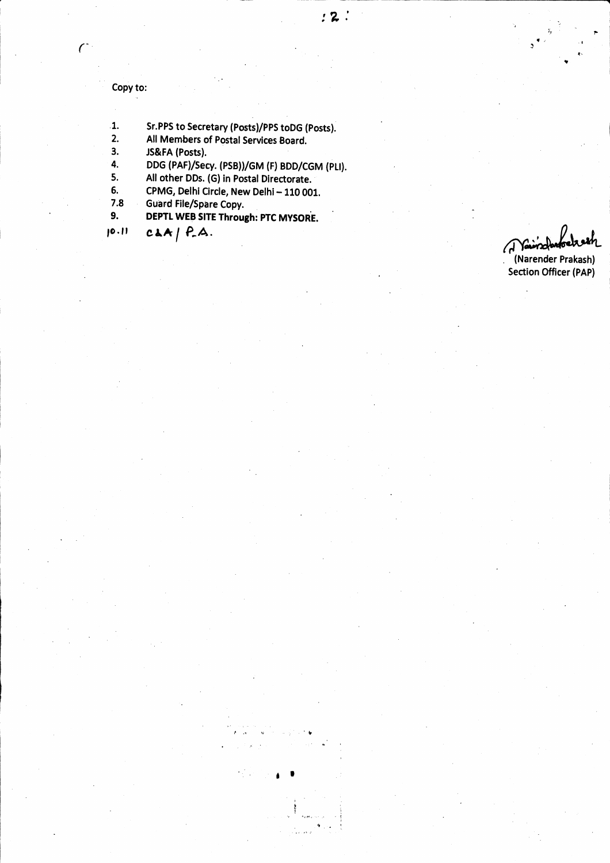Copy to:

 $\mathcal{C}^*$ 

- 1. Sr.PPS to Secretary (Posts)/PPS toDG (Posts).<br>2. All Members of Postal Services Board.
- 2. All Members of Postal Services Board.<br>3. JS&FA (Posts).
- 3. JS&FA (Posts).<br>4. DDG (PAF)/Sec

4. DDG (PAF)/Secy. (PSB))/GM (F) BDD/CGM (PLI).<br>5. All other DDs. (G) in Postal Directorate.

 $\mathcal{L}^{\text{in}}$ 

5. All other DDs. (G) in Postal Directorate.<br>6. CPMG, Delhi Circle, New Delhi – 110 001.

5. CPMG, Delhi Circle, New Delhi - 110 001.<br>7.8 Guard File/Spare Copy.

- 
- 9. DEPTL WEB SITE Through: PTC MYSORE
- $[0.1]$   $C \triangle A / P.A.$

i.<br>F

.t. t

1.t  $\ddot{ }$ 

(Narender Prakash) Section Officer (PAP)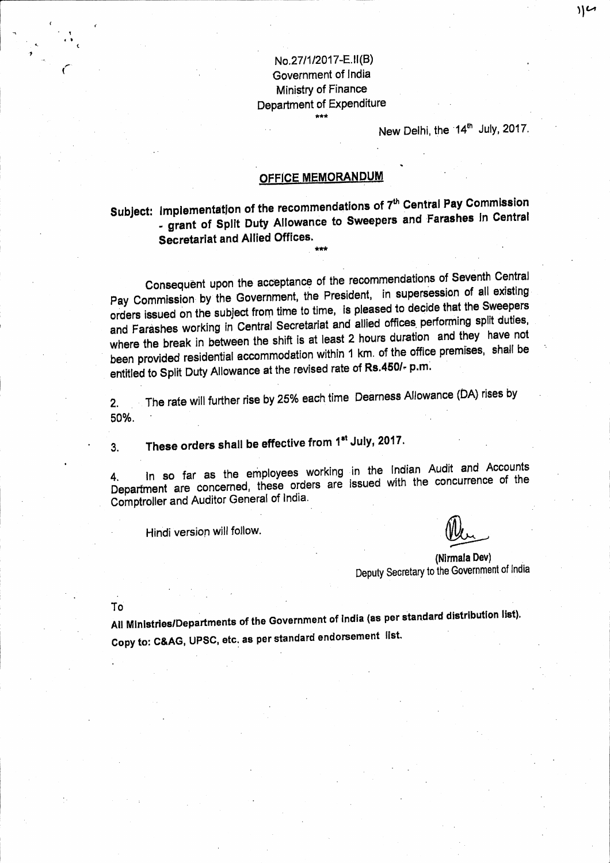## No.27/1/2017-E.II(B) Government of India Ministry of Finance Department of Expenditure

New Delhi, the 14<sup>th</sup> July, 2017.

# **OFFICE MEMORANDUM**

Subject: Implementation of the recommendations of 7<sup>th</sup> Central Pay Commission - grant of Split Duty Allowance to Sweepers and Farashes in Central **Secretariat and Allied Offices.** 

Consequent upon the acceptance of the recommendations of Seventh Central Pay Commission by the Government, the President, in supersession of all existing orders issued on the subject from time to time, is pleased to decide that the Sweepers and Farashes working in Central Secretariat and allied offices performing split duties, where the break in between the shift is at least 2 hours duration and they have not been provided residential accommodation within 1 km. of the office premises, shall be entitled to Split Duty Allowance at the revised rate of Rs.450/- p.m.

The rate will further rise by 25% each time Dearness Allowance (DA) rises by  $2.$ 50%.

These orders shall be effective from 1st July, 2017.  $3<sub>1</sub>$ 

In so far as the employees working in the Indian Audit and Accounts 4. Department are concerned, these orders are issued with the concurrence of the Comptroller and Auditor General of India.

Hindi version will follow.

(Nirmala Dev) Deputy Secretary to the Government of India

To

All Ministries/Departments of the Government of India (as per standard distribution list). Copy to: C&AG, UPSC, etc. as per standard endorsement list.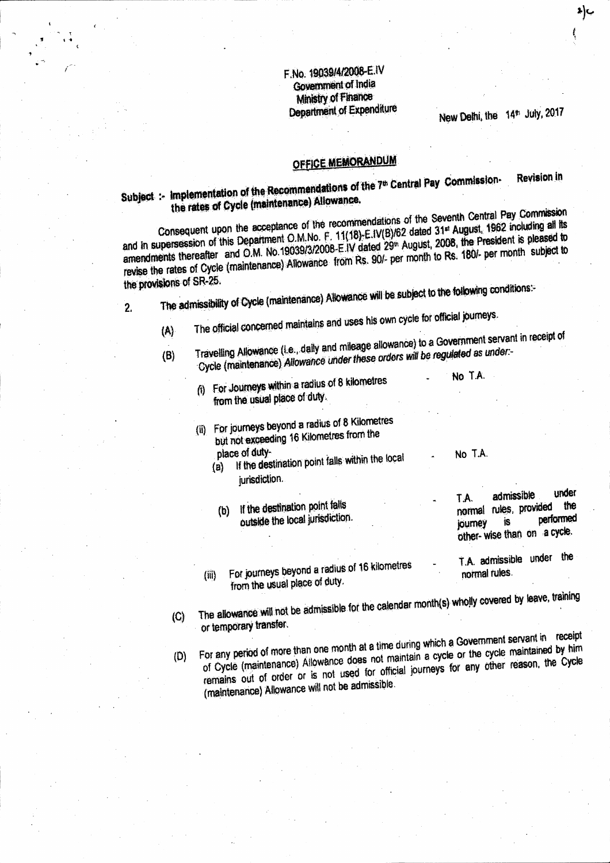### F.No. 19039/4/2008-E.IV **Government of India Ministry of Finance Department of Expenditure**

New Delhi, the 14th July, 2017

**Revision in** 

# **OFFICE MEMORANDUM**

# Subject :- Implementation of the Recommendations of the 7<sup>th</sup> Central Pay Commissionthe rates of Cycle (maintenance) Allowance.

Consequent upon the acceptance of the recommendations of the Seventh Central Pay Commission and in supersession of this Department O.M.No. F. 11(18)-E.IV(B)/62 dated 31<sup>st</sup> August, 1962 including all its amendments thereafter and O.M. No.19039/3/2008-E.IV dated 29<sup>th</sup> August, 2008, the President is pleased to revise the rates of Cycle (maintenance) Allowance from Rs. 90/- per month to Rs. 180/- per month subject to the provisions of SR-25.

The admissibility of Cycle (maintenance) Allowance will be subject to the following conditions:  $\overline{2}$ 

- The official concerned maintains and uses his own cycle for official journeys.
- $(A)$ Travelling Allowance (i.e., daily and mileage allowance) to a Government servant in receipt of Cycle (maintenance) Allowance under these orders will be regulated as under- $(B)$ 
	- For Journeys within a radius of 8 kilometres ለ ( from the usual place of duty.
	- (ii) For journeys beyond a radius of 8 Kilometres but not exceeding 16 Kilometres from the
		- place of duty-If the destination point falls within the local  $(a)$ jurisdiction.
			- (b) If the destination point falls outside the local jurisdiction.
		- For journeys beyond a radius of 16 kilometres  $(iii)$ from the usual place of duty.

No T.A.

No T.A.

- under admissible T.A. the normal rules, provided performed İS journey other-wise than on a cycle.
- T.A. admissible under the normal rules.
- The allowance will not be admissible for the calendar month(s) wholly covered by leave, training  $\langle C \rangle$ or temporary transfer.
- For any period of more than one month at a time during which a Government servant in receipt of Cycle (maintenance) Allowance does not maintain a cycle or the cycle maintained by him  $(D)$ remains out of order or is not used for official journeys for any other reason, the Cycle (maintenance) Allowance will not be admissible.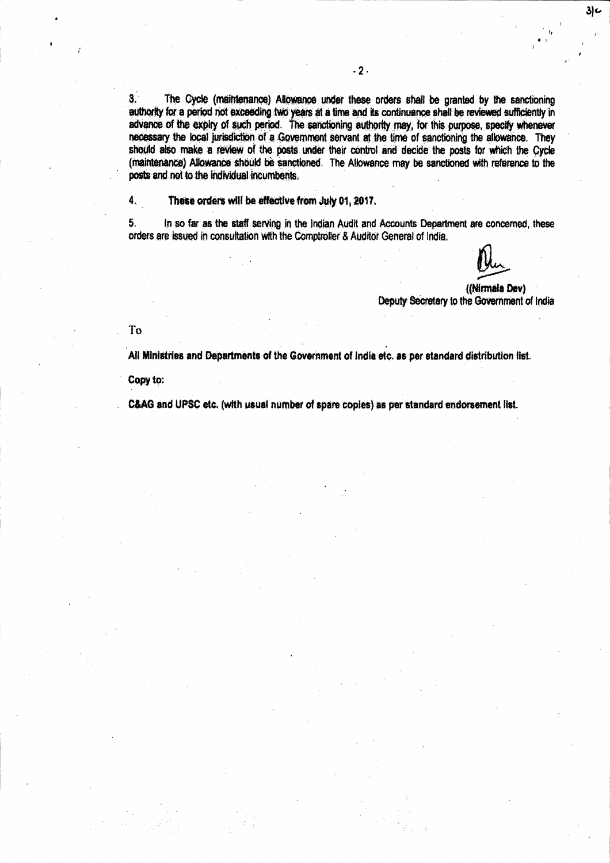$3<sup>1</sup>$ The Cycle (maintenance) Allowance under these orders shall be granted by the sanctioning authority for a period not exceeding two years at a time and its continuance shall be reviewed sufficiently in advance of the expiry of such period. The sanctioning authority may, for this purpose, specify whenever necessary the local jurisdiction of a Government servant at the time of sanctioning the allowance. They should also make a review of the posts under their control and decide the posts for which the Cycle (maintenance) Allowance should be sanctioned. The Allowance may be sanctioned with reference to the posts and not to the individual incumbents.

 $\ddot{4}$ . These orders will be effective from July 01, 2017.

 $5<sub>1</sub>$ In so far as the staff serving in the Indian Audit and Accounts Department are concerned, these orders are issued in consultation with the Comptroller & Auditor General of India.

> ((Nirmala Dev) Deputy Secretary to the Government of India

 $3<sub>c</sub>$ 

To

All Ministries and Departments of the Government of India etc. as per standard distribution list.

Copy to:

C&AG and UPSC etc. (with usual number of spare copies) as per standard endorsement list.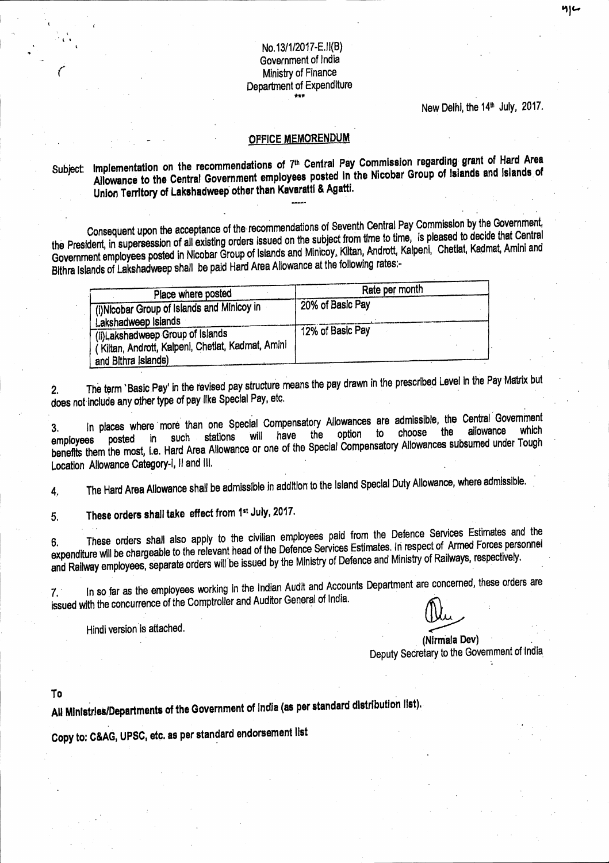## No.13/1/2017-E.II(B) Government of India Ministry of Finance Department of Expenditure

#### New Delhi, the 14<sup>th</sup> July, 2017.

#### **OFFICE MEMORENDUM**

## Subject: Implementation on the recommendations of 7<sup>th</sup> Central Pay Commission regarding grant of Hard Area Allowance to the Central Government employees posted in the Nicobar Group of Islands and Islands of Union Territory of Lakshadweep other than Kavaratti & Agatti.

Consequent upon the acceptance of the recommendations of Seventh Central Pay Commission by the Government, the President, in supersession of all existing orders issued on the subject from time to time, is pleased to decide that Central Government employees posted in Nicobar Group of Islands and Minicoy, Kiltan, Andrott, Kalpeni, Chetlat, Kadmat, Amini and Bithra Islands of Lakshadweep shall be paid Hard Area Allowance at the following rates:-

| Place where posted                                | Rate per month   |  |
|---------------------------------------------------|------------------|--|
| (i) Nicobar Group of Islands and Minicoy in       | 20% of Basic Pay |  |
| Lakshadweep Islands                               |                  |  |
| (ii) Lakshadweep Group of Islands                 | 12% of Basic Pay |  |
| (Kiltan, Andrott, Kalpeni, Chetlat, Kadmat, Amini |                  |  |
| and Bithra Islands)                               |                  |  |

The term 'Basic Pay' in the revised pay structure means the pay drawn in the prescribed Level in the Pay Matrix but  $\mathbf{2}$ does not include any other type of pay like Special Pay, etc.

In places where more than one Special Compensatory Allowances are admissible, the Central Government  $3.$ which choose allowance posted in such stations will have the the option to benefits them the most, i.e. Hard Area Allowance or one of the Special Compensatory Allowances subsumed under Tough Location Allowance Category-i, Il and III.

The Hard Area Allowance shall be admissible in addition to the Island Special Duty Allowance, where admissible. 4,

These orders shall take effect from 1st July, 2017. 5.

These orders shall also apply to the civilian employees paid from the Defence Services Estimates and the expenditure will be chargeable to the relevant head of the Defence Services Estimates. In respect of Armed Forces personnel and Railway employees, separate orders will be issued by the Ministry of Defence and Ministry of Railways, respectively.

In so far as the employees working in the Indian Audit and Accounts Department are concerned, these orders are  $7.7$ issued with the concurrence of the Comptroller and Auditor General of India.

Hindi version is attached.

(Nirmala Dev) Deputy Secretary to the Government of India

To

All Ministries/Departments of the Government of India (as per standard distribution list).

Copy to: C&AG, UPSC, etc. as per standard endorsement list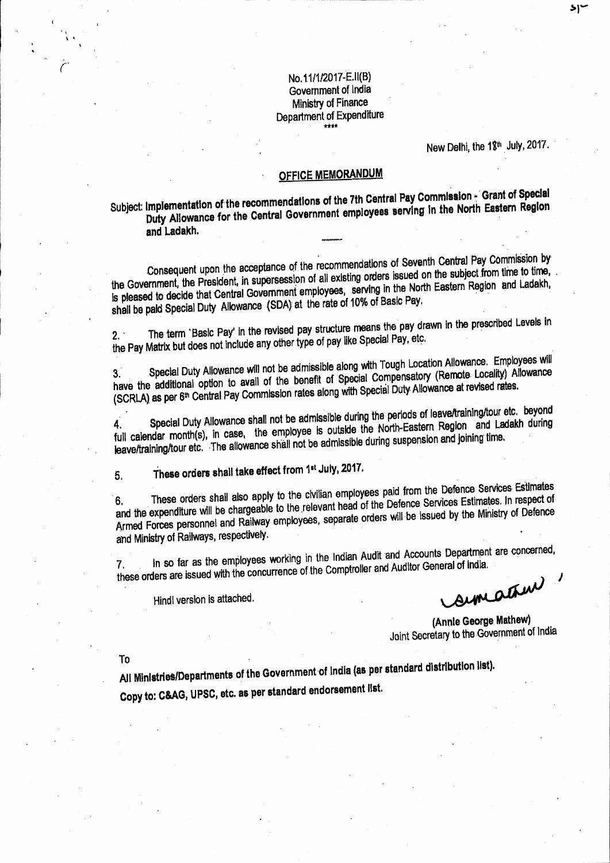No.11/1/2017-E.II(B) Government of India Ministry of Finance Department of Expenditure \*\*\*\*

New Delhi, the 18<sup>th</sup> July, 2017.

# **OFFICE MEMORANDUM**

Subject: Implementation of the recommendations of the 7th Central Pay Commission - Grant of Special Duty Allowance for the Central Government employees serving in the North Eastern Region and Ladakh.

Consequent upon the acceptance of the recommendations of Seventh Central Pay Commission by the Government, the President, in supersession of all existing orders issued on the subject from time to time, is pleased to decide that Central Government employees, serving in the North Eastern Region and Ladakh, shall be paid Special Duty Allowance (SDA) at the rate of 10% of Basic Pay.

The term 'Basic Pay' in the revised pay structure means the pay drawn in the prescribed Levels in the Pay Matrix but does not include any other type of pay like Special Pay, etc.  $2.$ 

Special Duty Allowance will not be admissible along with Tough Location Allowance. Employees will have the additional option to avail of the benefit of Special Compensatory (Remote Locality) Allowance (SCRLA) as per 6<sup>th</sup> Central Pay Commission rates along with Special Duty Allowance at revised rates.

Special Duty Allowance shall not be admissible during the periods of leave/training/tour etc. beyond full calendar month(s), in case, the employee is outside the North-Eastern Region and Ladakh during leave/training/tour etc. The allowance shall not be admissible during suspension and joining time.

These orders shall take effect from 1st July, 2017. 5.

These orders shall also apply to the civilian employees paid from the Defence Services Estimates and the expenditure will be chargeable to the relevant head of the Defence Services Estimates. In respect of 6. Armed Forces personnel and Railway employees, separate orders will be issued by the Ministry of Defence and Ministry of Railways, respectively.

In so far as the employees working in the Indian Audit and Accounts Department are concerned, these orders are issued with the concurrence of the Comptroller and Auditor General of India.  $\mathcal{L}$ 

Hindi version is attached.

simation

(Annie George Mathew) Joint Secretary to the Government of India

To

All Ministries/Departments of the Government of India (as per standard distribution list). Copy to: C&AG, UPSC, etc. as per standard endorsement list.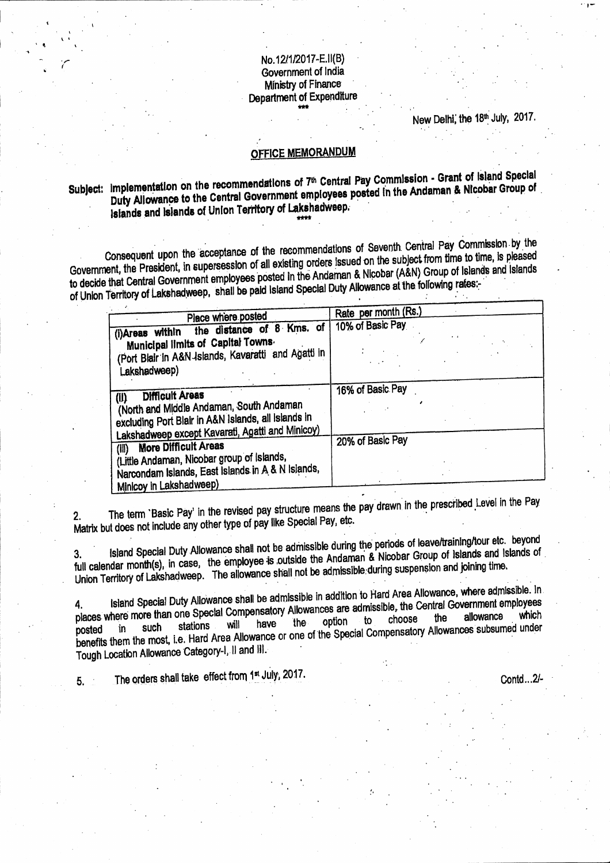#### No.12/1/2017-E.II(B) Government of India Ministry of Finance **Department of Expenditure**

New Delhi, the 18th July, 2017.

## **OFFICE MEMORANDUM**

# Subject: Implementation on the recommendations of 7th Central Pay Commission - Grant of Island Special Duty Allowance to the Central Government employees posted in the Andaman & Nicobar Group of Islands and Islands of Union Territory of Lakshadweep.

Consequent upon the acceptance of the recommendations of Seventh Central Pay Commission by the Government, the President, in supersession of all existing orders issued on the subject from time to time, is pleased to decide that Central Government employees posted in the Andaman & Nicobar (A&N) Group of Islands and Islands of Union Territory of Lakshadweep, shall be paid Island Special Duty Allowance at the following rates:

| Place where posted                                                                                                                                                                                                     | Rate per month (Rs.) |
|------------------------------------------------------------------------------------------------------------------------------------------------------------------------------------------------------------------------|----------------------|
| the distance of 8 Kms. of<br>(i)Areas within                                                                                                                                                                           | 10% of Basic Pay     |
| Municipal limits of Capital Towns.<br>(Port Blair in A&N Islands, Kavaratti and Agatti in<br>Lakshadweep)                                                                                                              |                      |
| <b>Difficult Areas</b><br>(II)<br>(North and Middle Andaman, South Andaman<br>excluding Port Blair in A&N Islands, all Islands in                                                                                      | 16% of Basic Pay     |
| Lakshadweep except Kavarati, Agatti and Minicoy)<br><b>More Difficult Areas</b><br>(iii)<br>(Little Andaman, Nicobar group of Islands,<br>Narcondam Islands, East Islands in A & N Islands,<br>Minicoy in Lakshadweep) | 20% of Basic Pay     |

The term 'Basic Pay' in the revised pay structure means the pay drawn in the prescribed Level in the Pay  $2.$ Matrix but does not include any other type of pay like Special Pay, etc.

Island Special Duty Allowance shall not be admissible during the periods of leave/training/tour etc. beyond full calendar month(s), in case, the employee is outside the Andaman & Nicobar Group of Islands and Islands of Union Territory of Lakshadweep. The allowance shall not be admissible during suspension and joining time.

Island Special Duty Allowance shall be admissible in addition to Hard Area Allowance, where admissible. In places where more than one Special Compensatory Allowances are admissible, the Central Government employees the option to have the benefits them the most, i.e. Hard Area Allowance or one of the Special Compensatory Allowances subsumed under will Tough Location Allowance Category-I, II and III.

The orders shall take effect from 1st July, 2017.  $5.$ 

Contd...2/-